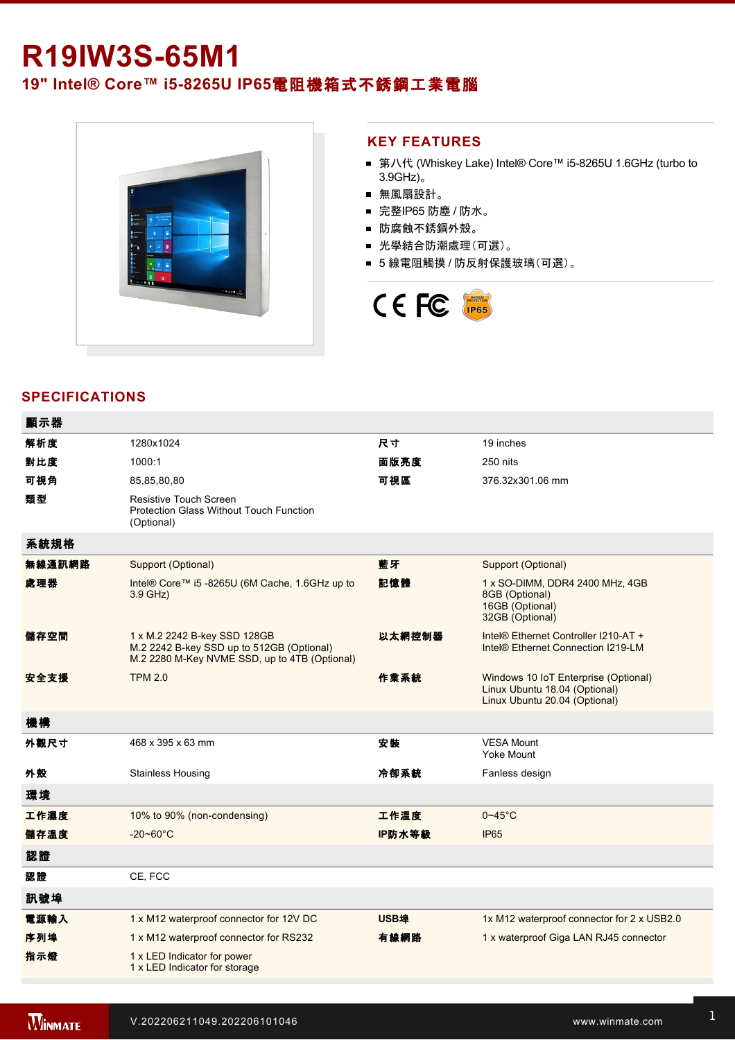# **R19IW3S-65M1**

**19" Intel® Core™ i5-8265U IP65電阻機箱式不銹鋼工業電腦** 



#### **KEY FEATURES**

- 第八代 (Whiskey Lake) Intel® Core™ i5-8265U 1.6GHz (turbo to 3.9GHz)。
- 無風扇設計。
- 完整IP65 防塵 / 防水。
- 防腐蝕不銹鋼外殼。
- 光學結合防潮處理(可選)。
- 5 線電阻觸摸 / 防反射保護玻璃(可選)。



# **SPECIFICATIONS**

| 顯示器    |                                                                                                                            |             |                                                                                                        |
|--------|----------------------------------------------------------------------------------------------------------------------------|-------------|--------------------------------------------------------------------------------------------------------|
| 解析度    | 1280x1024                                                                                                                  | 尺寸          | 19 inches                                                                                              |
| 對比度    | 1000:1                                                                                                                     | 面版亮度        | 250 nits                                                                                               |
| 可視角    | 85,85,80,80                                                                                                                | 可視區         | 376.32x301.06 mm                                                                                       |
| 類型     | Resistive Touch Screen<br><b>Protection Glass Without Touch Function</b><br>(Optional)                                     |             |                                                                                                        |
| 系統規格   |                                                                                                                            |             |                                                                                                        |
| 無線通訊網路 | Support (Optional)                                                                                                         | 藍牙          | Support (Optional)                                                                                     |
| 處理器    | Intel® Core™ i5 -8265U (6M Cache, 1.6GHz up to<br>$3.9$ GHz)                                                               | 記憶體         | 1 x SO-DIMM, DDR4 2400 MHz, 4GB<br>8GB (Optional)<br>16GB (Optional)<br>32GB (Optional)                |
| 儲存空間   | 1 x M.2 2242 B-key SSD 128GB<br>M.2 2242 B-key SSD up to 512GB (Optional)<br>M.2 2280 M-Key NVME SSD, up to 4TB (Optional) | 以太網控制器      | Intel® Ethernet Controller I210-AT +<br>Intel <sup>®</sup> Ethernet Connection I219-LM                 |
| 安全支援   | <b>TPM 2.0</b>                                                                                                             | 作業系統        | Windows 10 IoT Enterprise (Optional)<br>Linux Ubuntu 18.04 (Optional)<br>Linux Ubuntu 20.04 (Optional) |
| 機構     |                                                                                                                            |             |                                                                                                        |
| 外觀尺寸   | 468 x 395 x 63 mm                                                                                                          | 安装          | <b>VESA Mount</b><br>Yoke Mount                                                                        |
| 外殼     | <b>Stainless Housing</b>                                                                                                   | 冷卻系統        | Fanless design                                                                                         |
| 環境     |                                                                                                                            |             |                                                                                                        |
| 工作濕度   | 10% to 90% (non-condensing)                                                                                                | 工作溫度        | $0 - 45$ °C                                                                                            |
| 儲存溫度   | $-20 - 60^{\circ}$ C                                                                                                       | IP防水等級      | <b>IP65</b>                                                                                            |
| 認證     |                                                                                                                            |             |                                                                                                        |
| 認證     | CE, FCC                                                                                                                    |             |                                                                                                        |
| 訊號埠    |                                                                                                                            |             |                                                                                                        |
| 電源輸入   | 1 x M12 waterproof connector for 12V DC                                                                                    | <b>USB埠</b> | 1x M12 waterproof connector for 2 x USB2.0                                                             |
| 序列埠    | 1 x M12 waterproof connector for RS232                                                                                     | 有線網路        | 1 x waterproof Giga LAN RJ45 connector                                                                 |
| 指示燈    | 1 x LED Indicator for power<br>1 x LED Indicator for storage                                                               |             |                                                                                                        |
|        |                                                                                                                            |             |                                                                                                        |

配件